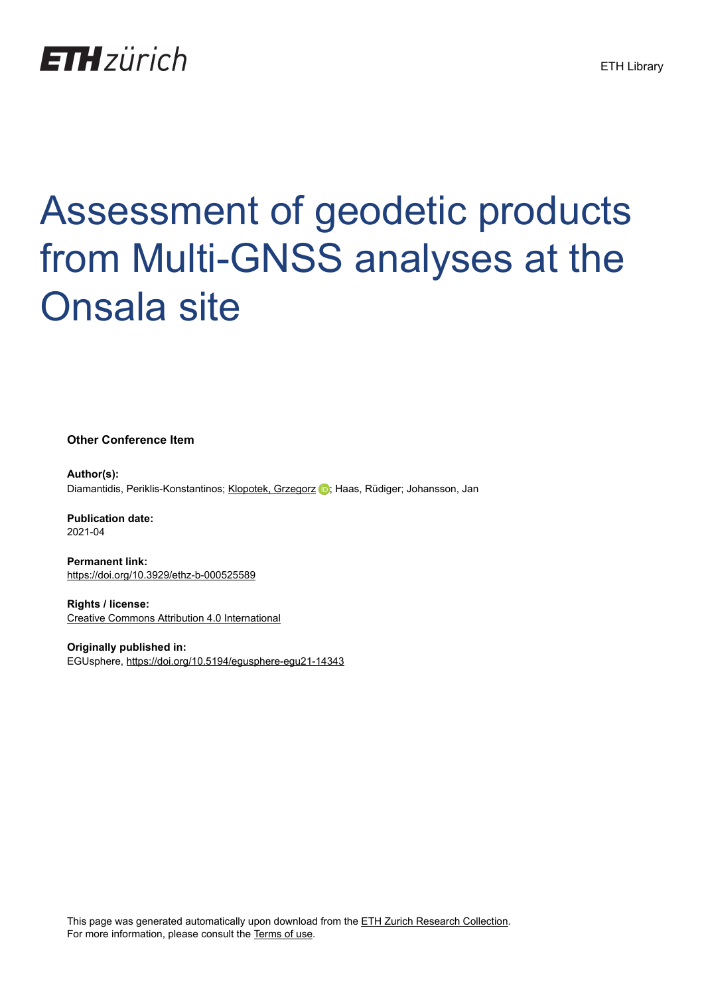## **ETH**zürich

## Assessment of geodetic products from Multi-GNSS analyses at the Onsala site

**Other Conference Item**

**Author(s):** Diamantidis, Periklis-Konstantinos; [Klopotek, Grzegorz](https://orcid.org/0000-0001-7854-7055) D; Haas, Rüdiger; Johansson, Jan

**Publication date:** 2021-04

**Permanent link:** <https://doi.org/10.3929/ethz-b-000525589>

**Rights / license:** [Creative Commons Attribution 4.0 International](http://creativecommons.org/licenses/by/4.0/)

**Originally published in:** EGUsphere, <https://doi.org/10.5194/egusphere-egu21-14343>